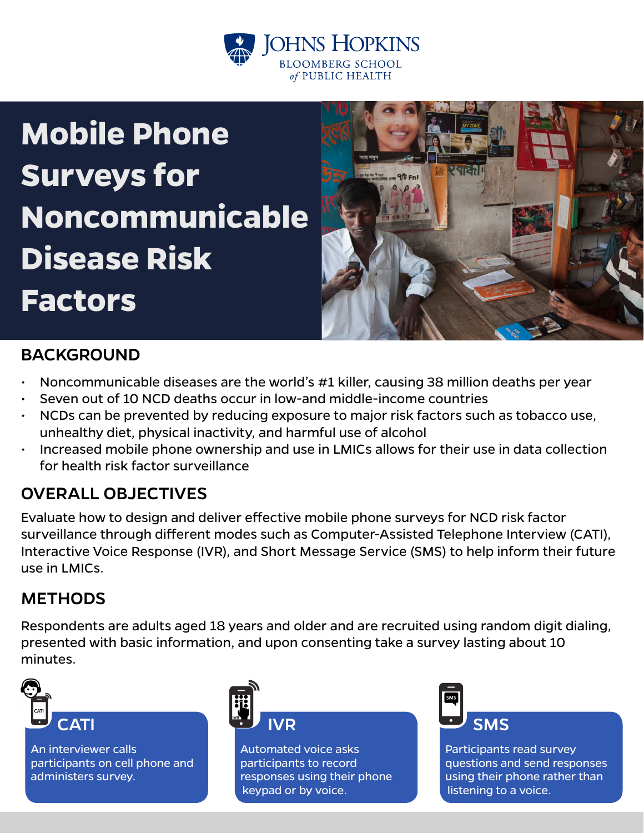

# **Mobile Phone Surveys for Noncommunicable Disease Risk Factors**



# **BACKGROUND**

- Noncommunicable diseases are the world's #1 killer, causing 38 million deaths per year
- Seven out of 10 NCD deaths occur in low-and middle-income countries
- NCDs can be prevented by reducing exposure to major risk factors such as tobacco use, unhealthy diet, physical inactivity, and harmful use of alcohol
- Increased mobile phone ownership and use in LMICs allows for their use in data collection for health risk factor surveillance

# OVERALL OBJECTIVES

Evaluate how to design and deliver effective mobile phone surveys for NCD risk factor surveillance through different modes such as Computer-Assisted Telephone Interview (CATI), Interactive Voice Response (IVR), and Short Message Service (SMS) to help inform their future use in LMICs.

## **METHODS**

Respondents are adults aged 18 years and older and are recruited using random digit dialing, presented with basic information, and upon consenting take a survey lasting about 10 minutes.



An interviewer calls participants on cell phone and administers survey.



Automated voice asks participants to record responses using their phone keypad or by voice.



Participants read survey questions and send responses using their phone rather than listening to a voice.